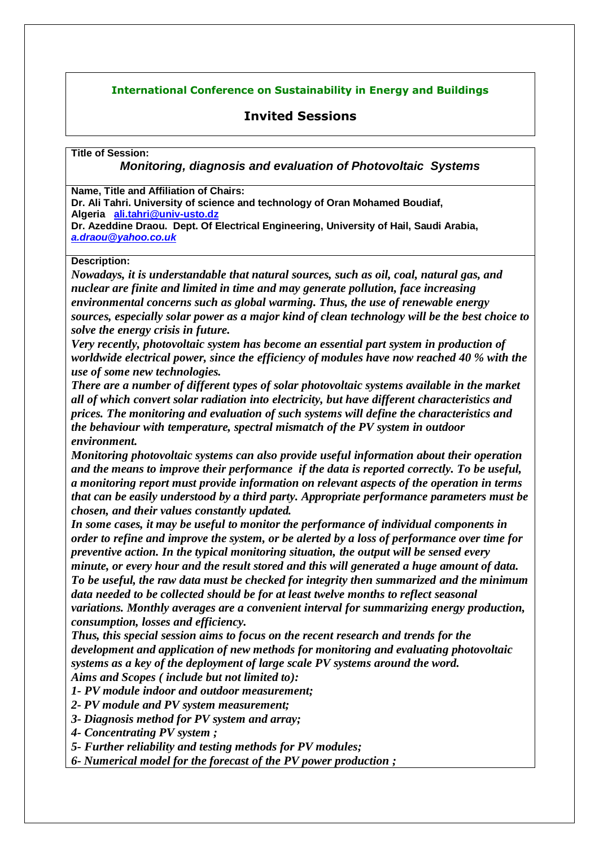## **International Conference on Sustainability in Energy and Buildings**

## **Invited Sessions**

**Title of Session:**

*Monitoring, diagnosis and evaluation of Photovoltaic Systems*

**Name, Title and Affiliation of Chairs:**

**Dr. Ali Tahri. University of science and technology of Oran Mohamed Boudiaf, Algeria [ali.tahri@univ-usto.dz](mailto:ali.tahri@univ-usto.dz)**

**Dr. Azeddine Draou. Dept. Of Electrical Engineering, University of Hail, Saudi Arabia,**  *a.draou@yahoo.co.uk*

## **Description:**

*Nowadays, it is understandable that natural sources, such as oil, coal, natural gas, and nuclear are finite and limited in time and may generate pollution, face increasing environmental concerns such as global warming. Thus, the use of renewable energy sources, especially solar power as a major kind of clean technology will be the best choice to solve the energy crisis in future.*

*Very recently, photovoltaic system has become an essential part system in production of worldwide electrical power, since the efficiency of modules have now reached 40 % with the use of some new technologies.*

*There are a number of different types of solar photovoltaic systems available in the market all of which convert solar radiation into electricity, but have different characteristics and prices. The monitoring and evaluation of such systems will define the characteristics and the behaviour with temperature, spectral mismatch of the PV system in outdoor environment.* 

*Monitoring photovoltaic systems can also provide useful information about their operation and the means to improve their performance if the data is reported correctly. To be useful, a monitoring report must provide information on relevant aspects of the operation in terms that can be easily understood by a third party. Appropriate performance parameters must be chosen, and their values constantly updated.* 

*In some cases, it may be useful to monitor the performance of individual components in order to refine and improve the system, or be alerted by a loss of performance over time for preventive action. In the typical monitoring situation, the output will be sensed every minute, or every hour and the result stored and this will generated a huge amount of data. To be useful, the raw data must be checked for integrity then summarized and the minimum data needed to be collected should be for at least twelve months to reflect seasonal variations. Monthly averages are a convenient interval for summarizing energy production, consumption, losses and efficiency.*

*Thus, this special session aims to focus on the recent research and trends for the development and application of new methods for monitoring and evaluating photovoltaic systems as a key of the deployment of large scale PV systems around the word. Aims and Scopes ( include but not limited to):*

*1- PV module indoor and outdoor measurement;*

*2- PV module and PV system measurement;*

*3- Diagnosis method for PV system and array;*

*4- Concentrating PV system ;*

*5- Further reliability and testing methods for PV modules;*

*6- Numerical model for the forecast of the PV power production ;*